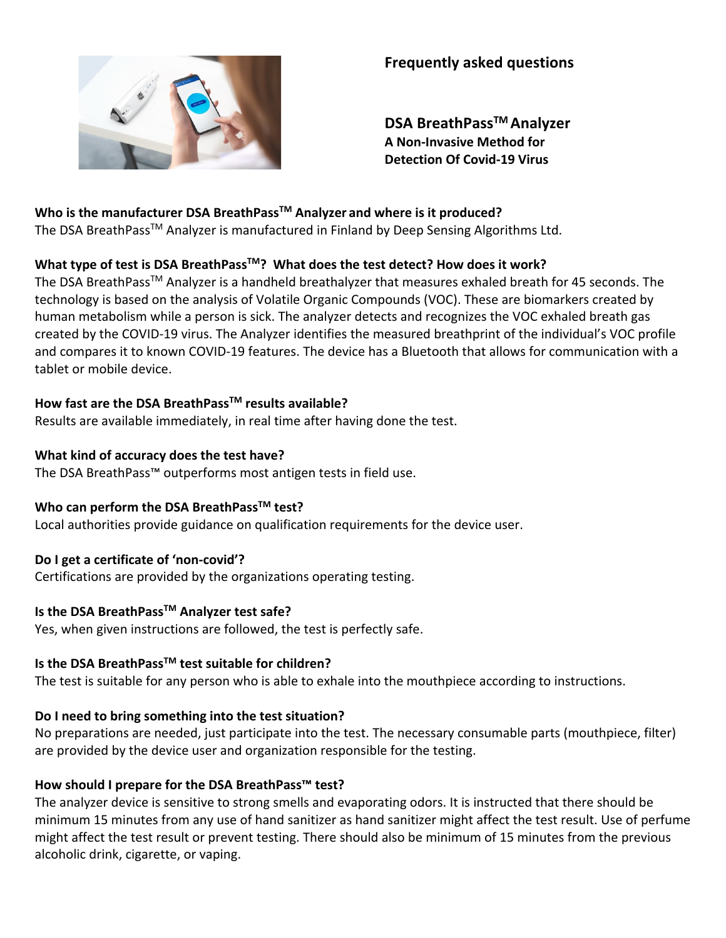

# **Frequently asked questions**

**DSA BreathPassTM Analyzer A Non-Invasive Method for Detection Of Covid-19 Virus** 

# **Who is the manufacturer DSA BreathPassTM Analyzer and where is it produced?**

The DSA BreathPass<sup>™</sup> Analyzer is manufactured in Finland by Deep Sensing Algorithms Ltd.

# What type of test is DSA BreathPass<sup>™</sup>? What does the test detect? How does it work?

The DSA BreathPassTM Analyzer is a handheld breathalyzer that measures exhaled breath for 45 seconds. The technology is based on the analysis of Volatile Organic Compounds (VOC). These are biomarkers created by human metabolism while a person is sick. The analyzer detects and recognizes the VOC exhaled breath gas created by the COVID-19 virus. The Analyzer identifies the measured breathprint of the individual's VOC profile and compares it to known COVID-19 features. The device has a Bluetooth that allows for communication with a tablet or mobile device.

# **How fast are the DSA BreathPassTM results available?**

Results are available immediately, in real time after having done the test.

#### **What kind of accuracy does the test have?**

The DSA BreathPass™ outperforms most antigen tests in field use.

# **Who can perform the DSA BreathPassTM test?**

Local authorities provide guidance on qualification requirements for the device user.

# **Do I get a certificate of 'non-covid'?**

Certifications are provided by the organizations operating testing.

# **Is the DSA BreathPassTM Analyzer test safe?**

Yes, when given instructions are followed, the test is perfectly safe.

# **Is the DSA BreathPassTM test suitable for children?**

The test is suitable for any person who is able to exhale into the mouthpiece according to instructions.

# **Do I need to bring something into the test situation?**

No preparations are needed, just participate into the test. The necessary consumable parts (mouthpiece, filter) are provided by the device user and organization responsible for the testing.

# **How should I prepare for the DSA BreathPass™ test?**

The analyzer device is sensitive to strong smells and evaporating odors. It is instructed that there should be minimum 15 minutes from any use of hand sanitizer as hand sanitizer might affect the test result. Use of perfume might affect the test result or prevent testing. There should also be minimum of 15 minutes from the previous alcoholic drink, cigarette, or vaping.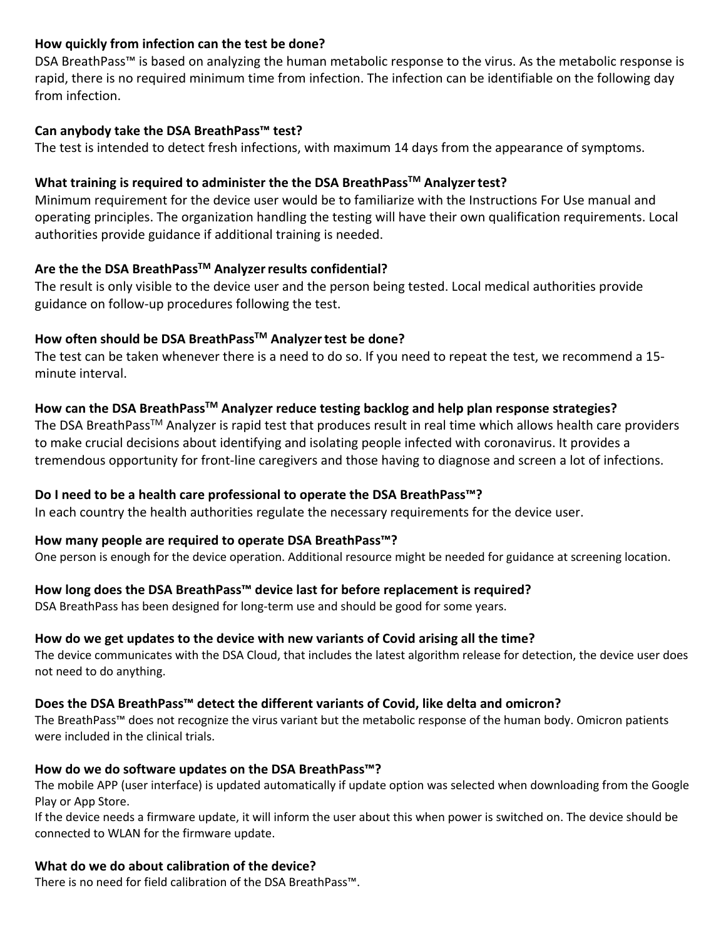### **How quickly from infection can the test be done?**

DSA BreathPass™ is based on analyzing the human metabolic response to the virus. As the metabolic response is rapid, there is no required minimum time from infection. The infection can be identifiable on the following day from infection.

### **Can anybody take the DSA BreathPass™ test?**

The test is intended to detect fresh infections, with maximum 14 days from the appearance of symptoms.

#### **What training is required to administer the the DSA BreathPassTM Analyzertest?**

Minimum requirement for the device user would be to familiarize with the Instructions For Use manual and operating principles. The organization handling the testing will have their own qualification requirements. Local authorities provide guidance if additional training is needed.

# **Are the the DSA BreathPassTM Analyzerresults confidential?**

The result is only visible to the device user and the person being tested. Local medical authorities provide guidance on follow-up procedures following the test.

# **How often should be DSA BreathPassTM Analyzertest be done?**

The test can be taken whenever there is a need to do so. If you need to repeat the test, we recommend a 15 minute interval.

#### **How can the DSA BreathPassTM Analyzer reduce testing backlog and help plan response strategies?**

The DSA BreathPass<sup>™</sup> Analyzer is rapid test that produces result in real time which allows health care providers to make crucial decisions about identifying and isolating people infected with coronavirus. It provides a tremendous opportunity for front-line caregivers and those having to diagnose and screen a lot of infections.

# **Do I need to be a health care professional to operate the DSA BreathPass™?**

In each country the health authorities regulate the necessary requirements for the device user.

#### **How many people are required to operate DSA BreathPass™?**

One person is enough for the device operation. Additional resource might be needed for guidance at screening location.

# **How long does the DSA BreathPass™ device last for before replacement is required?**

DSA BreathPass has been designed for long-term use and should be good for some years.

#### **How do we get updates to the device with new variants of Covid arising all the time?**

The device communicates with the DSA Cloud, that includes the latest algorithm release for detection, the device user does not need to do anything.

#### **Does the DSA BreathPass™ detect the different variants of Covid, like delta and omicron?**

The BreathPass™ does not recognize the virus variant but the metabolic response of the human body. Omicron patients were included in the clinical trials.

#### **How do we do software updates on the DSA BreathPass™?**

The mobile APP (user interface) is updated automatically if update option was selected when downloading from the Google Play or App Store.

If the device needs a firmware update, it will inform the user about this when power is switched on. The device should be connected to WLAN for the firmware update.

# **What do we do about calibration of the device?**

There is no need for field calibration of the DSA BreathPass™.